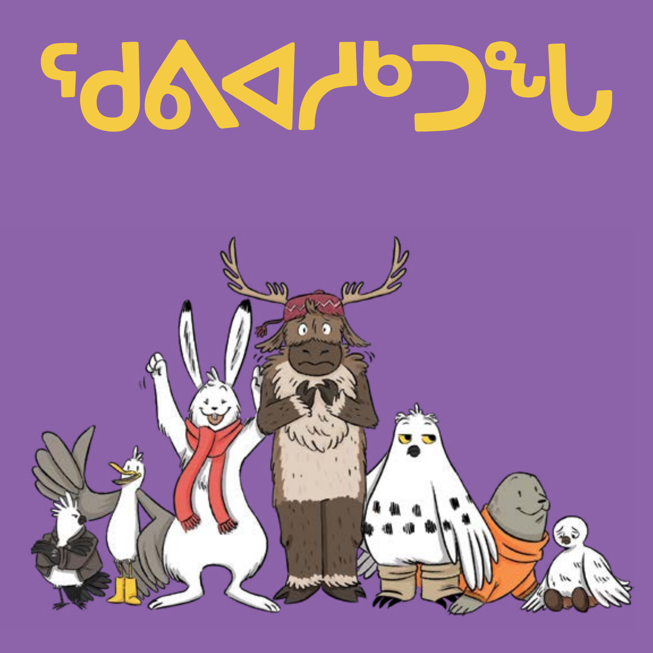# 

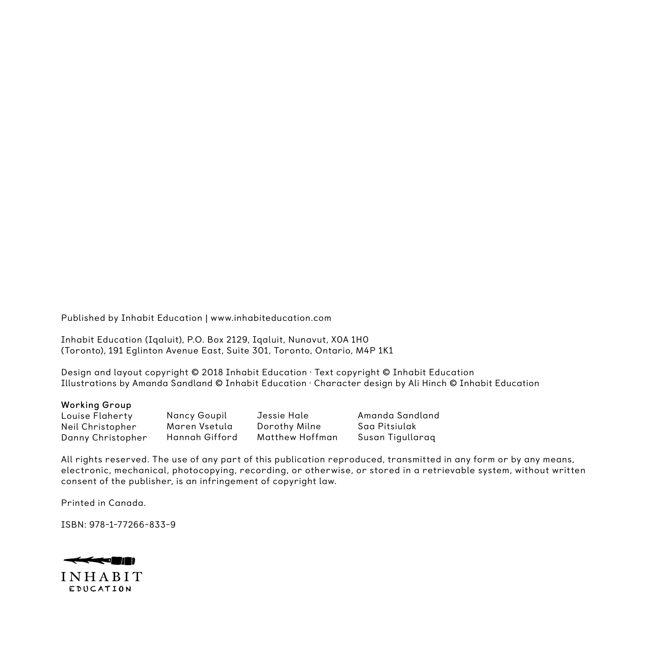Published by Inhabit Education | www.inhabiteducation.com

Inhabit Education (Iqaluit), P.O. Box 2129, Iqaluit, Nunavut, X0A 1H0 (Toronto), 191 Eglinton Avenue East, Suite 301, Toronto, Ontario, M4P 1K1

Design and layout copyright © 2018 Inhabit Education · Text copyright © Inhabit Education Illustrations by Amanda Sandland © Inhabit Education · Character design by Ali Hinch © Inhabit Education

#### **Working Group**

Louise Flaherty Neil Christopher Danny Christopher

Nancy Goupil Maren Vsetula Hannah Gifford Jessie Hale Dorothy Milne Matthew Hoffman Amanda Sandland Saa Pitsiulak Susan Tigullaraq

All rights reserved. The use of any part of this publication reproduced, transmitted in any form or by any means, electronic, mechanical, photocopying, recording, or otherwise, or stored in a retrievable system, without written consent of the publisher, is an infringement of copyright law.

Printed in Canada.

ISBN: 978-1-77266-833-9

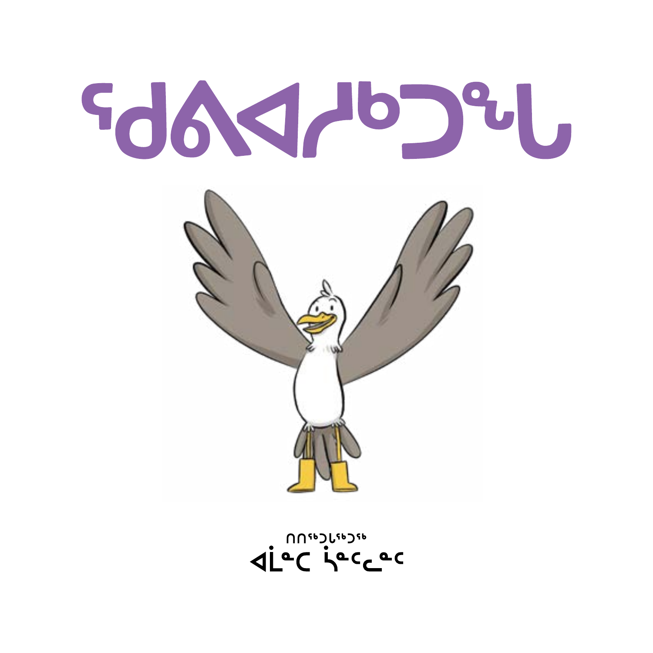diec jecese



# 99991-0294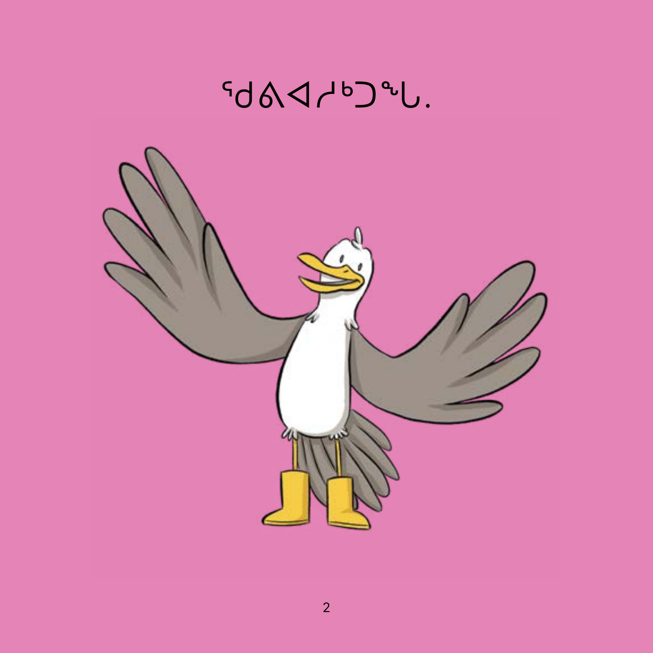## J<sup>&</sup>CdyDAD?

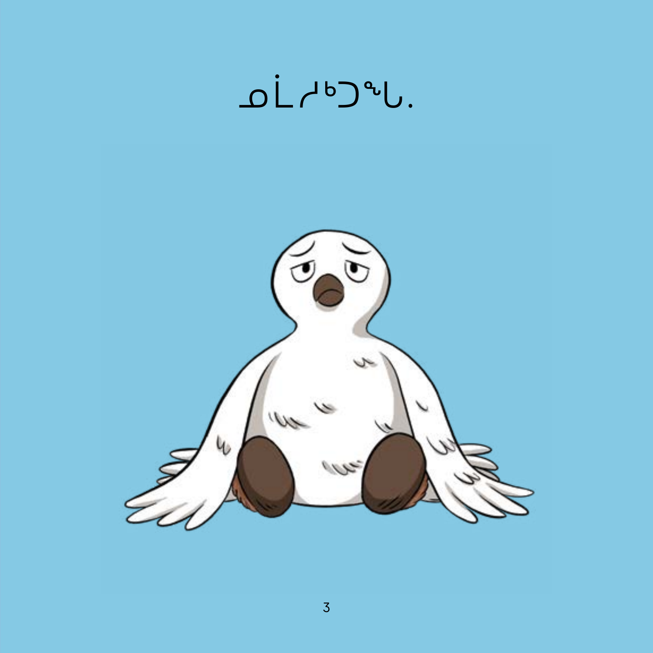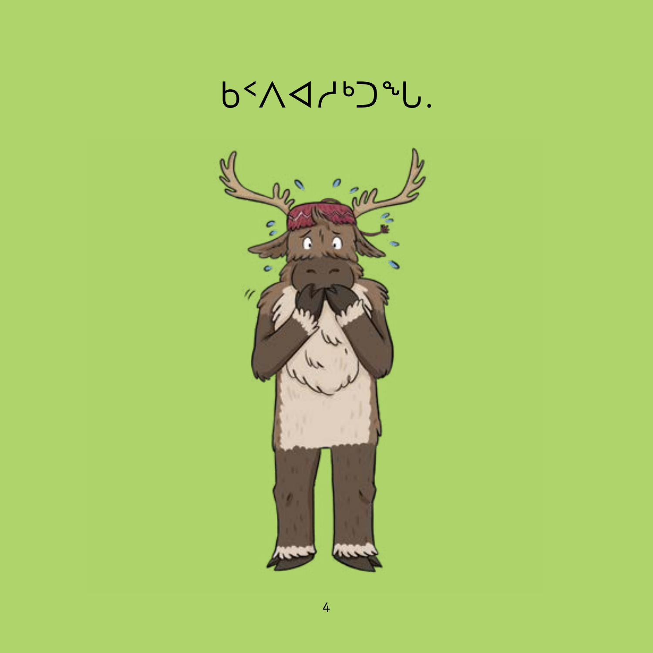

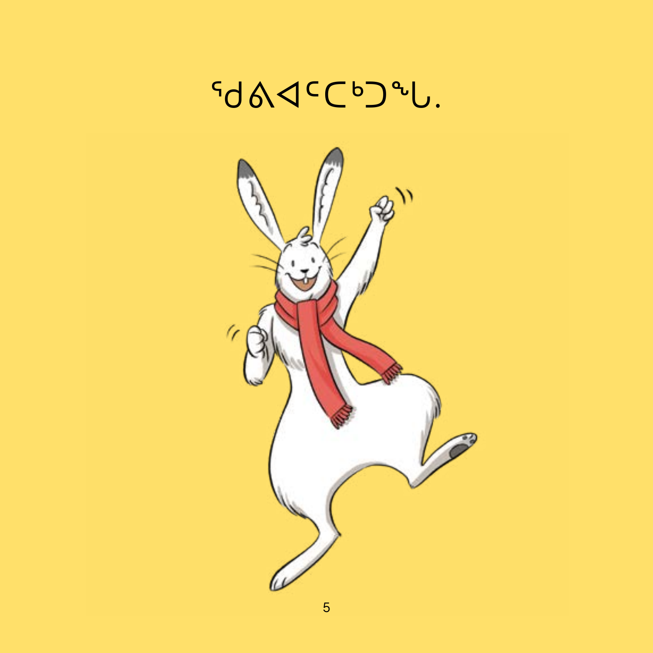

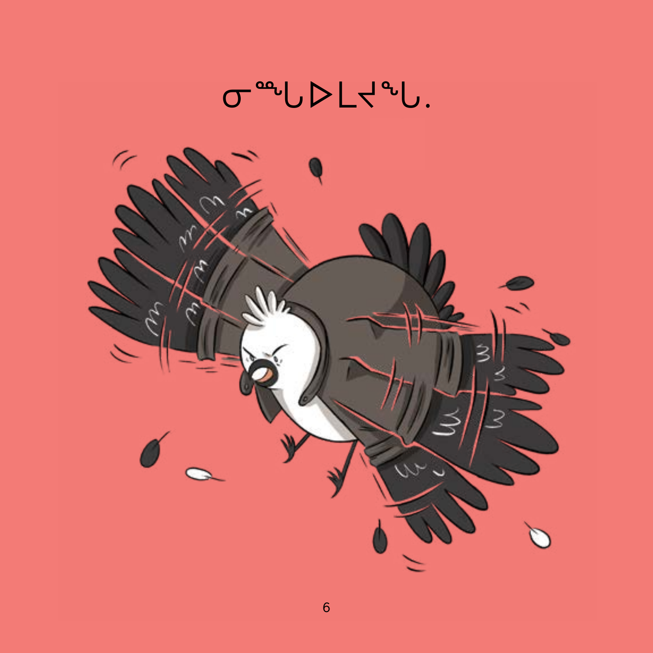

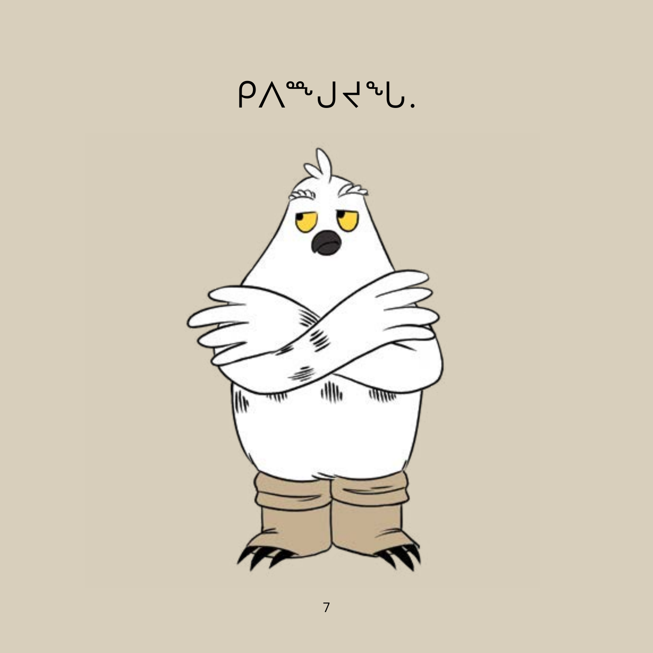

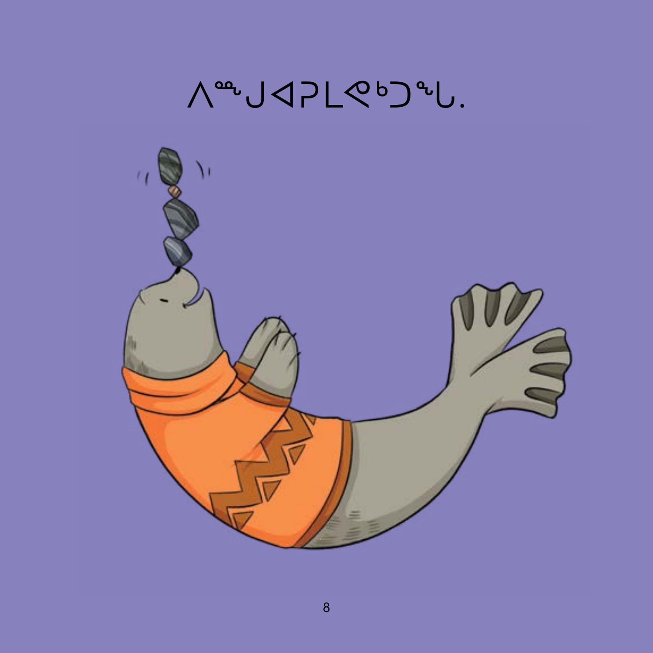

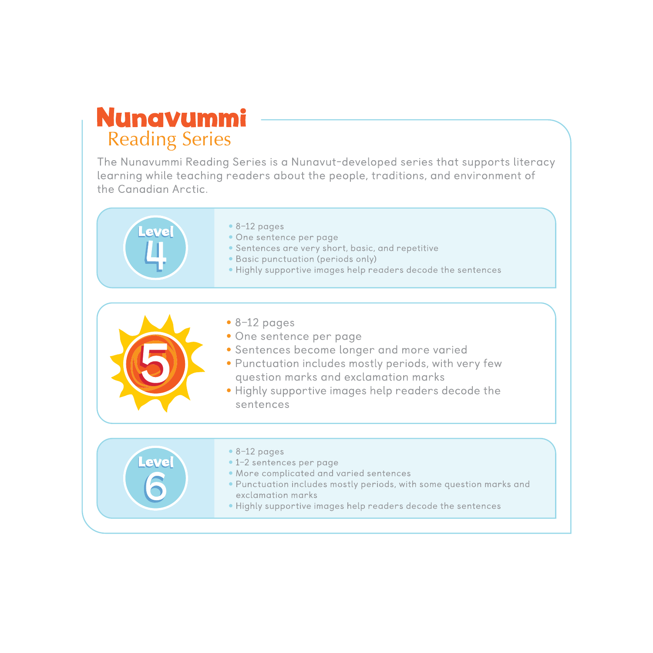#### **Nunavummi Reading Series**

The Nunavummi Reading Series is a Nunavut-developed series that supports literacy learning while teaching readers about the people, traditions, and environment of the Canadian Arctic.



- $\bullet$  8-12 pages
- · One sentence per page
- Sentences are very short, basic, and repetitive
- Basic punctuation (periods only)
- . Highly supportive images help readers decode the sentences



Level

- $\bullet$  8-12 pages
- One sentence per page
- · Sentences become longer and more varied
- · Punctuation includes mostly periods, with very few question marks and exclamation marks
- . Highly supportive images help readers decode the sentences

 $\bullet$  8-12 pages

- · 1-2 sentences per page
- . More complicated and varied sentences
- . Punctuation includes mostly periods, with some question marks and exclamation marks
- . Highly supportive images help readers decode the sentences